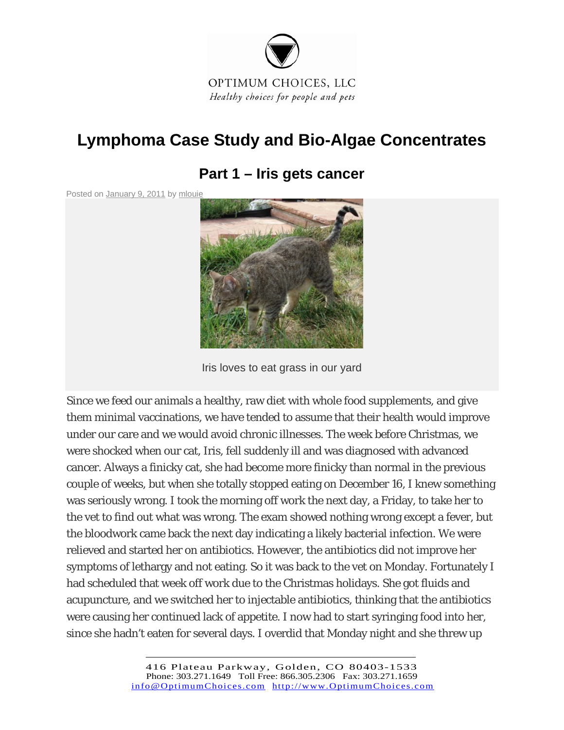

# **Lymphoma Case Study and Bio-Algae Concentrates**

# **Part 1 – Iris gets cancer**

Posted on January 9, 2011 by mlouie



Iris loves to eat grass in our yard

Since we feed our animals a healthy, raw diet with whole food supplements, and give them minimal vaccinations, we have tended to assume that their health would improve under our care and we would avoid chronic illnesses. The week before Christmas, we were shocked when our cat, Iris, fell suddenly ill and was diagnosed with advanced cancer. Always a finicky cat, she had become more finicky than normal in the previous couple of weeks, but when she totally stopped eating on December 16, I knew something was seriously wrong. I took the morning off work the next day, a Friday, to take her to the vet to find out what was wrong. The exam showed nothing wrong except a fever, but the bloodwork came back the next day indicating a likely bacterial infection. We were relieved and started her on antibiotics. However, the antibiotics did not improve her symptoms of lethargy and not eating. So it was back to the vet on Monday. Fortunately I had scheduled that week off work due to the Christmas holidays. She got fluids and acupuncture, and we switched her to injectable antibiotics, thinking that the antibiotics were causing her continued lack of appetite. I now had to start syringing food into her, since she hadn't eaten for several days. I overdid that Monday night and she threw up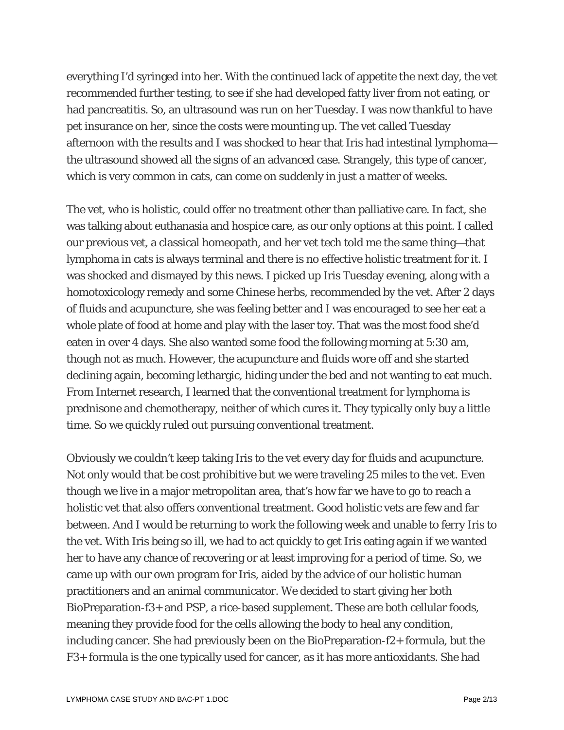everything I'd syringed into her. With the continued lack of appetite the next day, the vet recommended further testing, to see if she had developed fatty liver from not eating, or had pancreatitis. So, an ultrasound was run on her Tuesday. I was now thankful to have pet insurance on her, since the costs were mounting up. The vet called Tuesday afternoon with the results and I was shocked to hear that Iris had intestinal lymphoma the ultrasound showed all the signs of an advanced case. Strangely, this type of cancer, which is very common in cats, can come on suddenly in just a matter of weeks.

The vet, who is holistic, could offer no treatment other than palliative care. In fact, she was talking about euthanasia and hospice care, as our only options at this point. I called our previous vet, a classical homeopath, and her vet tech told me the same thing—that lymphoma in cats is always terminal and there is no effective holistic treatment for it. I was shocked and dismayed by this news. I picked up Iris Tuesday evening, along with a homotoxicology remedy and some Chinese herbs, recommended by the vet. After 2 days of fluids and acupuncture, she was feeling better and I was encouraged to see her eat a whole plate of food at home and play with the laser toy. That was the most food she'd eaten in over 4 days. She also wanted some food the following morning at 5:30 am, though not as much. However, the acupuncture and fluids wore off and she started declining again, becoming lethargic, hiding under the bed and not wanting to eat much. From Internet research, I learned that the conventional treatment for lymphoma is prednisone and chemotherapy, neither of which cures it. They typically only buy a little time. So we quickly ruled out pursuing conventional treatment.

Obviously we couldn't keep taking Iris to the vet every day for fluids and acupuncture. Not only would that be cost prohibitive but we were traveling 25 miles to the vet. Even though we live in a major metropolitan area, that's how far we have to go to reach a holistic vet that also offers conventional treatment. Good holistic vets are few and far between. And I would be returning to work the following week and unable to ferry Iris to the vet. With Iris being so ill, we had to act quickly to get Iris eating again if we wanted her to have any chance of recovering or at least improving for a period of time. So, we came up with our own program for Iris, aided by the advice of our holistic human practitioners and an animal communicator. We decided to start giving her both BioPreparation-f3+ and PSP, a rice-based supplement. These are both cellular foods, meaning they provide food for the cells allowing the body to heal any condition, including cancer. She had previously been on the BioPreparation-f2+ formula, but the F3+ formula is the one typically used for cancer, as it has more antioxidants. She had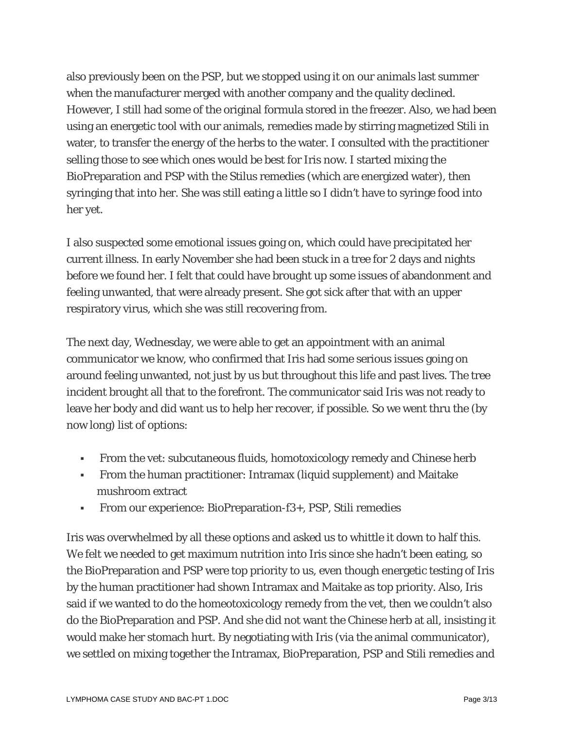also previously been on the PSP, but we stopped using it on our animals last summer when the manufacturer merged with another company and the quality declined. However, I still had some of the original formula stored in the freezer. Also, we had been using an energetic tool with our animals, remedies made by stirring magnetized Stili in water, to transfer the energy of the herbs to the water. I consulted with the practitioner selling those to see which ones would be best for Iris now. I started mixing the BioPreparation and PSP with the Stilus remedies (which are energized water), then syringing that into her. She was still eating a little so I didn't have to syringe food into her yet.

I also suspected some emotional issues going on, which could have precipitated her current illness. In early November she had been stuck in a tree for 2 days and nights before we found her. I felt that could have brought up some issues of abandonment and feeling unwanted, that were already present. She got sick after that with an upper respiratory virus, which she was still recovering from.

The next day, Wednesday, we were able to get an appointment with an animal communicator we know, who confirmed that Iris had some serious issues going on around feeling unwanted, not just by us but throughout this life and past lives. The tree incident brought all that to the forefront. The communicator said Iris was not ready to leave her body and did want us to help her recover, if possible. So we went thru the (by now long) list of options:

- From the vet: subcutaneous fluids, homotoxicology remedy and Chinese herb
- From the human practitioner: Intramax (liquid supplement) and Maitake mushroom extract
- From our experience: BioPreparation-f3+, PSP, Stili remedies

Iris was overwhelmed by all these options and asked us to whittle it down to half this. We felt we needed to get maximum nutrition into Iris since she hadn't been eating, so the BioPreparation and PSP were top priority to us, even though energetic testing of Iris by the human practitioner had shown Intramax and Maitake as top priority. Also, Iris said if we wanted to do the homeotoxicology remedy from the vet, then we couldn't also do the BioPreparation and PSP. And she did not want the Chinese herb at all, insisting it would make her stomach hurt. By negotiating with Iris (via the animal communicator), we settled on mixing together the Intramax, BioPreparation, PSP and Stili remedies and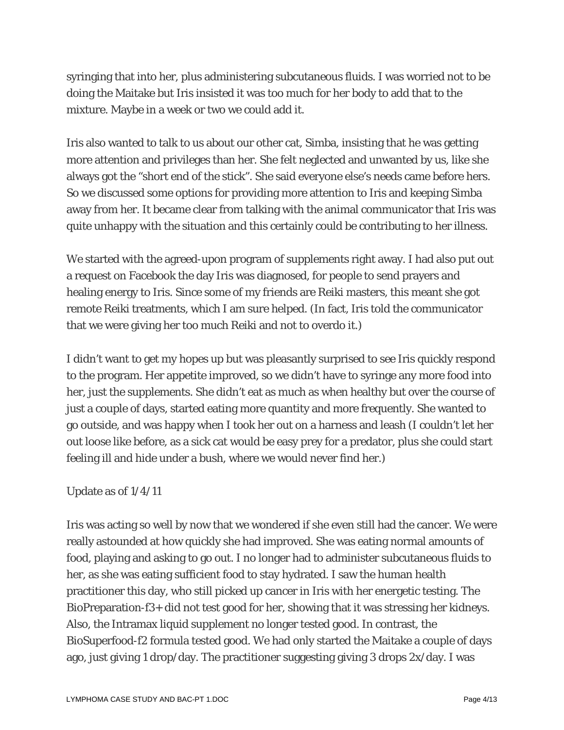syringing that into her, plus administering subcutaneous fluids. I was worried not to be doing the Maitake but Iris insisted it was too much for her body to add that to the mixture. Maybe in a week or two we could add it.

Iris also wanted to talk to us about our other cat, Simba, insisting that he was getting more attention and privileges than her. She felt neglected and unwanted by us, like she always got the "short end of the stick". She said everyone else's needs came before hers. So we discussed some options for providing more attention to Iris and keeping Simba away from her. It became clear from talking with the animal communicator that Iris was quite unhappy with the situation and this certainly could be contributing to her illness.

We started with the agreed-upon program of supplements right away. I had also put out a request on Facebook the day Iris was diagnosed, for people to send prayers and healing energy to Iris. Since some of my friends are Reiki masters, this meant she got remote Reiki treatments, which I am sure helped. (In fact, Iris told the communicator that we were giving her too much Reiki and not to overdo it.)

I didn't want to get my hopes up but was pleasantly surprised to see Iris quickly respond to the program. Her appetite improved, so we didn't have to syringe any more food into her, just the supplements. She didn't eat as much as when healthy but over the course of just a couple of days, started eating more quantity and more frequently. She wanted to go outside, and was happy when I took her out on a harness and leash (I couldn't let her out loose like before, as a sick cat would be easy prey for a predator, plus she could start feeling ill and hide under a bush, where we would never find her.)

### Update as of 1/4/11

Iris was acting so well by now that we wondered if she even still had the cancer. We were really astounded at how quickly she had improved. She was eating normal amounts of food, playing and asking to go out. I no longer had to administer subcutaneous fluids to her, as she was eating sufficient food to stay hydrated. I saw the human health practitioner this day, who still picked up cancer in Iris with her energetic testing. The BioPreparation-f3+ did not test good for her, showing that it was stressing her kidneys. Also, the Intramax liquid supplement no longer tested good. In contrast, the BioSuperfood-f2 formula tested good. We had only started the Maitake a couple of days ago, just giving 1 drop/day. The practitioner suggesting giving 3 drops 2x/day. I was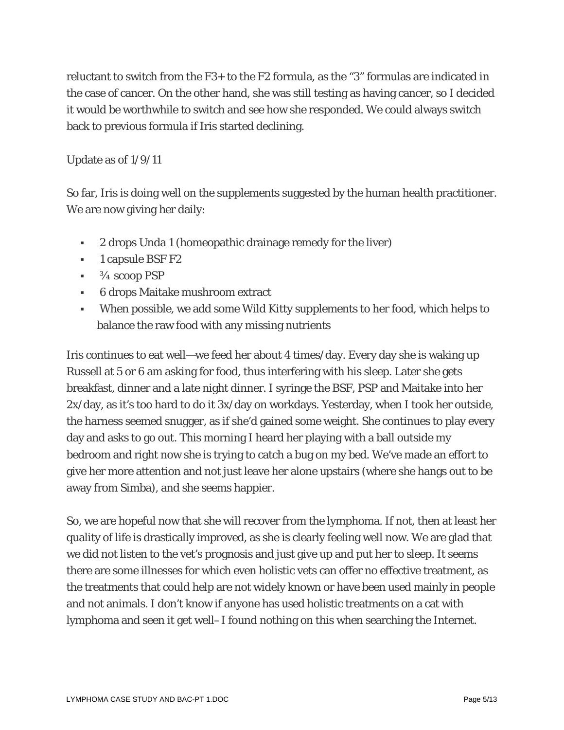reluctant to switch from the F3+ to the F2 formula, as the "3" formulas are indicated in the case of cancer. On the other hand, she was still testing as having cancer, so I decided it would be worthwhile to switch and see how she responded. We could always switch back to previous formula if Iris started declining.

### Update as of 1/9/11

So far, Iris is doing well on the supplements suggested by the human health practitioner. We are now giving her daily:

- 2 drops Unda 1 (homeopathic drainage remedy for the liver)
- **1** capsule BSF F2
- $\bullet$   $\frac{3}{4}$  scoop PSP
- 6 drops Maitake mushroom extract
- When possible, we add some Wild Kitty supplements to her food, which helps to balance the raw food with any missing nutrients

Iris continues to eat well—we feed her about 4 times/day. Every day she is waking up Russell at 5 or 6 am asking for food, thus interfering with his sleep. Later she gets breakfast, dinner and a late night dinner. I syringe the BSF, PSP and Maitake into her 2x/day, as it's too hard to do it 3x/day on workdays. Yesterday, when I took her outside, the harness seemed snugger, as if she'd gained some weight. She continues to play every day and asks to go out. This morning I heard her playing with a ball outside my bedroom and right now she is trying to catch a bug on my bed. We've made an effort to give her more attention and not just leave her alone upstairs (where she hangs out to be away from Simba), and she seems happier.

So, we are hopeful now that she will recover from the lymphoma. If not, then at least her quality of life is drastically improved, as she is clearly feeling well now. We are glad that we did not listen to the vet's prognosis and just give up and put her to sleep. It seems there are some illnesses for which even holistic vets can offer no effective treatment, as the treatments that could help are not widely known or have been used mainly in people and not animals. I don't know if anyone has used holistic treatments on a cat with lymphoma and seen it get well–I found nothing on this when searching the Internet.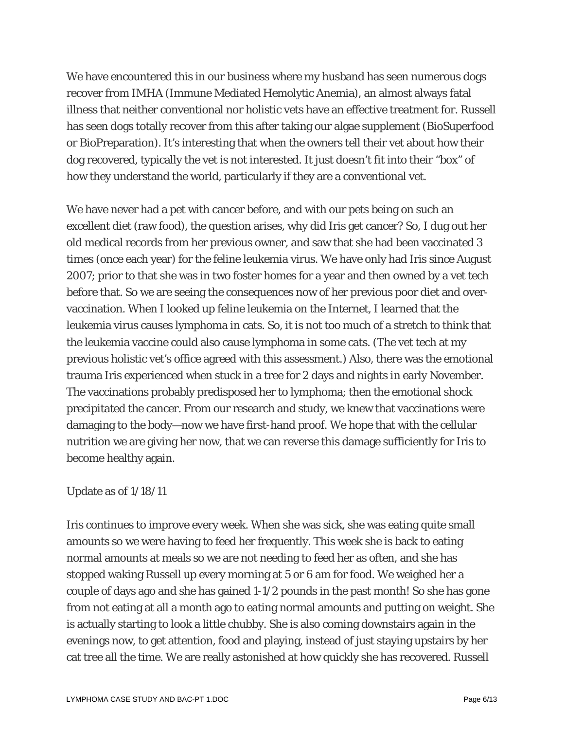We have encountered this in our business where my husband has seen numerous dogs recover from IMHA (Immune Mediated Hemolytic Anemia), an almost always fatal illness that neither conventional nor holistic vets have an effective treatment for. Russell has seen dogs totally recover from this after taking our algae supplement (BioSuperfood or BioPreparation). It's interesting that when the owners tell their vet about how their dog recovered, typically the vet is not interested. It just doesn't fit into their "box" of how they understand the world, particularly if they are a conventional vet.

We have never had a pet with cancer before, and with our pets being on such an excellent diet (raw food), the question arises, why did Iris get cancer? So, I dug out her old medical records from her previous owner, and saw that she had been vaccinated 3 times (once each year) for the feline leukemia virus. We have only had Iris since August 2007; prior to that she was in two foster homes for a year and then owned by a vet tech before that. So we are seeing the consequences now of her previous poor diet and overvaccination. When I looked up feline leukemia on the Internet, I learned that the leukemia virus causes lymphoma in cats. So, it is not too much of a stretch to think that the leukemia vaccine could also cause lymphoma in some cats. (The vet tech at my previous holistic vet's office agreed with this assessment.) Also, there was the emotional trauma Iris experienced when stuck in a tree for 2 days and nights in early November. The vaccinations probably predisposed her to lymphoma; then the emotional shock precipitated the cancer. From our research and study, we knew that vaccinations were damaging to the body—now we have first-hand proof. We hope that with the cellular nutrition we are giving her now, that we can reverse this damage sufficiently for Iris to become healthy again.

#### Update as of 1/18/11

Iris continues to improve every week. When she was sick, she was eating quite small amounts so we were having to feed her frequently. This week she is back to eating normal amounts at meals so we are not needing to feed her as often, and she has stopped waking Russell up every morning at 5 or 6 am for food. We weighed her a couple of days ago and she has gained 1-1/2 pounds in the past month! So she has gone from not eating at all a month ago to eating normal amounts and putting on weight. She is actually starting to look a little chubby. She is also coming downstairs again in the evenings now, to get attention, food and playing, instead of just staying upstairs by her cat tree all the time. We are really astonished at how quickly she has recovered. Russell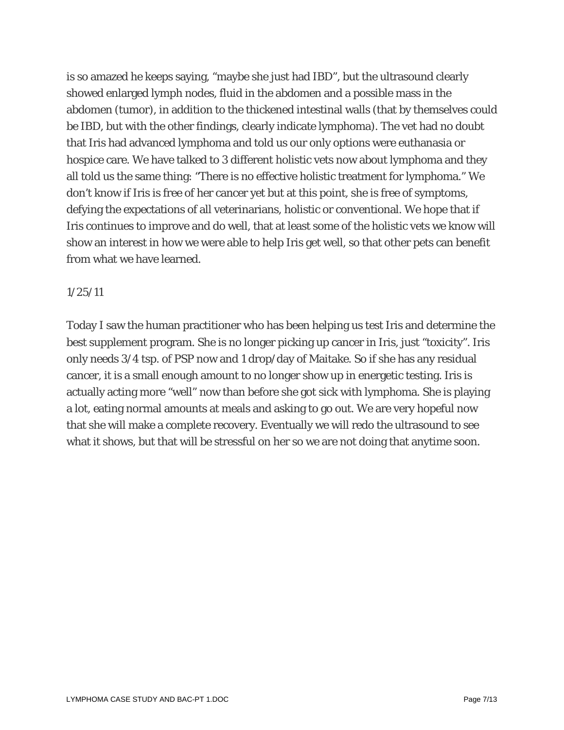is so amazed he keeps saying, "maybe she just had IBD", but the ultrasound clearly showed enlarged lymph nodes, fluid in the abdomen and a possible mass in the abdomen (tumor), in addition to the thickened intestinal walls (that by themselves could be IBD, but with the other findings, clearly indicate lymphoma). The vet had no doubt that Iris had advanced lymphoma and told us our only options were euthanasia or hospice care. We have talked to 3 different holistic vets now about lymphoma and they all told us the same thing: "There is no effective holistic treatment for lymphoma." We don't know if Iris is free of her cancer yet but at this point, she is free of symptoms, defying the expectations of all veterinarians, holistic or conventional. We hope that if Iris continues to improve and do well, that at least some of the holistic vets we know will show an interest in how we were able to help Iris get well, so that other pets can benefit from what we have learned.

#### 1/25/11

Today I saw the human practitioner who has been helping us test Iris and determine the best supplement program. She is no longer picking up cancer in Iris, just "toxicity". Iris only needs 3/4 tsp. of PSP now and 1 drop/day of Maitake. So if she has any residual cancer, it is a small enough amount to no longer show up in energetic testing. Iris is actually acting more "well" now than before she got sick with lymphoma. She is playing a lot, eating normal amounts at meals and asking to go out. We are very hopeful now that she will make a complete recovery. Eventually we will redo the ultrasound to see what it shows, but that will be stressful on her so we are not doing that anytime soon.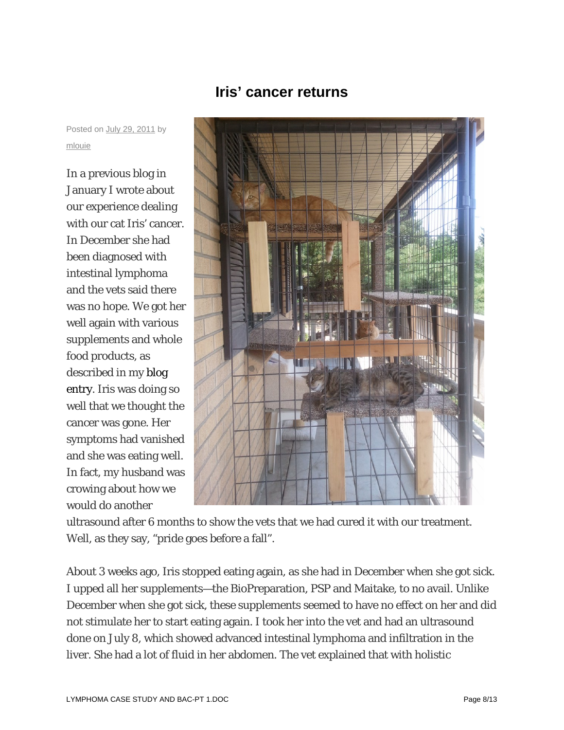

## **Iris' cancer returns**

Posted on July 29, 2011 by mlouie

In a previous blog in January I wrote about our experience dealing with our cat Iris' cancer. In December she had been diagnosed with intestinal lymphoma and the vets said there was no hope. We got her well again with various supplements and whole food products, as described in my blog entry. Iris was doing so well that we thought the cancer was gone. Her symptoms had vanished and she was eating well. In fact, my husband was crowing about how we would do another

ultrasound after 6 months to show the vets that we had cured it with our treatment. Well, as they say, "pride goes before a fall".

About 3 weeks ago, Iris stopped eating again, as she had in December when she got sick. I upped all her supplements—the BioPreparation, PSP and Maitake, to no avail. Unlike December when she got sick, these supplements seemed to have no effect on her and did not stimulate her to start eating again. I took her into the vet and had an ultrasound done on July 8, which showed advanced intestinal lymphoma and infiltration in the liver. She had a lot of fluid in her abdomen. The vet explained that with holistic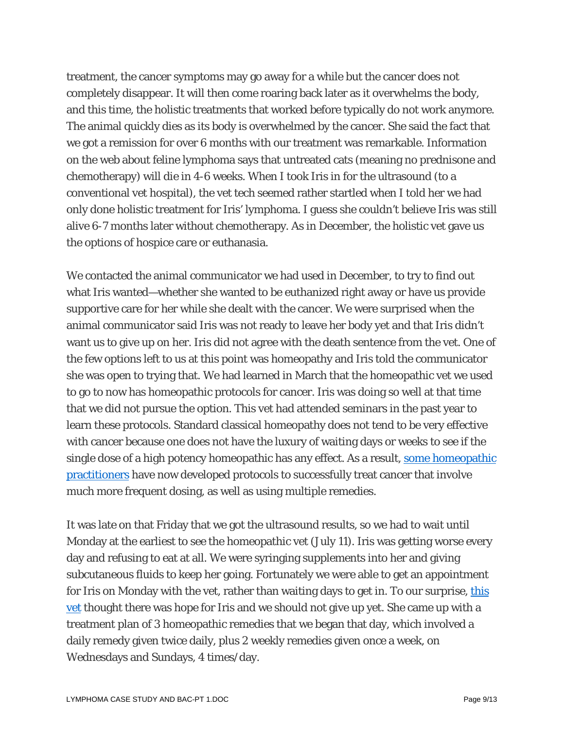treatment, the cancer symptoms may go away for a while but the cancer does not completely disappear. It will then come roaring back later as it overwhelms the body, and this time, the holistic treatments that worked before typically do not work anymore. The animal quickly dies as its body is overwhelmed by the cancer. She said the fact that we got a remission for over 6 months with our treatment was remarkable. Information on the web about feline lymphoma says that untreated cats (meaning no prednisone and chemotherapy) will die in 4-6 weeks. When I took Iris in for the ultrasound (to a conventional vet hospital), the vet tech seemed rather startled when I told her we had only done holistic treatment for Iris' lymphoma. I guess she couldn't believe Iris was still alive 6-7 months later without chemotherapy. As in December, the holistic vet gave us the options of hospice care or euthanasia.

We contacted the animal communicator we had used in December, to try to find out what Iris wanted—whether she wanted to be euthanized right away or have us provide supportive care for her while she dealt with the cancer. We were surprised when the animal communicator said Iris was not ready to leave her body yet and that Iris didn't want us to give up on her. Iris did not agree with the death sentence from the vet. One of the few options left to us at this point was homeopathy and Iris told the communicator she was open to trying that. We had learned in March that the homeopathic vet we used to go to now has homeopathic protocols for cancer. Iris was doing so well at that time that we did not pursue the option. This vet had attended seminars in the past year to learn these protocols. Standard classical homeopathy does not tend to be very effective with cancer because one does not have the luxury of waiting days or weeks to see if the single dose of a high potency homeopathic has any effect. As a result, some homeopathic practitioners have now developed protocols to successfully treat cancer that involve much more frequent dosing, as well as using multiple remedies.

It was late on that Friday that we got the ultrasound results, so we had to wait until Monday at the earliest to see the homeopathic vet (July 11). Iris was getting worse every day and refusing to eat at all. We were syringing supplements into her and giving subcutaneous fluids to keep her going. Fortunately we were able to get an appointment for Iris on Monday with the vet, rather than waiting days to get in. To our surprise, this vet thought there was hope for Iris and we should not give up yet. She came up with a treatment plan of 3 homeopathic remedies that we began that day, which involved a daily remedy given twice daily, plus 2 weekly remedies given once a week, on Wednesdays and Sundays, 4 times/day.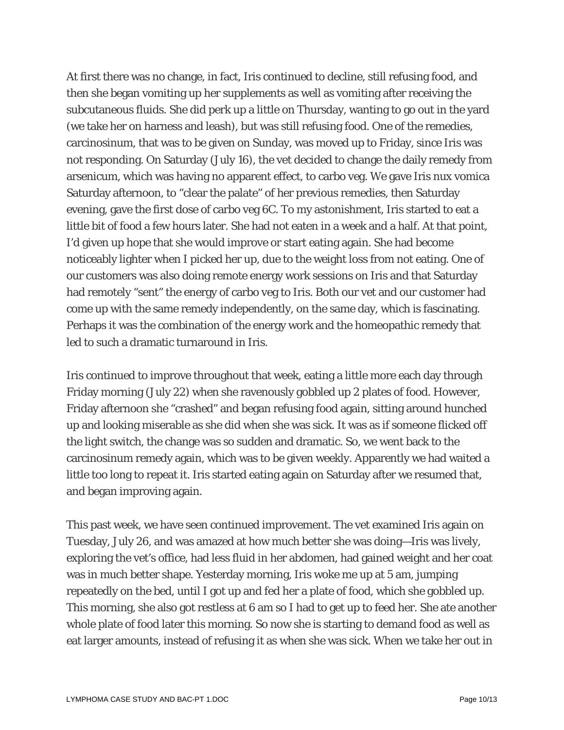At first there was no change, in fact, Iris continued to decline, still refusing food, and then she began vomiting up her supplements as well as vomiting after receiving the subcutaneous fluids. She did perk up a little on Thursday, wanting to go out in the yard (we take her on harness and leash), but was still refusing food. One of the remedies, carcinosinum, that was to be given on Sunday, was moved up to Friday, since Iris was not responding. On Saturday (July 16), the vet decided to change the daily remedy from arsenicum, which was having no apparent effect, to carbo veg. We gave Iris nux vomica Saturday afternoon, to "clear the palate" of her previous remedies, then Saturday evening, gave the first dose of carbo veg 6C. To my astonishment, Iris started to eat a little bit of food a few hours later. She had not eaten in a week and a half. At that point, I'd given up hope that she would improve or start eating again. She had become noticeably lighter when I picked her up, due to the weight loss from not eating. One of our customers was also doing remote energy work sessions on Iris and that Saturday had remotely "sent" the energy of carbo veg to Iris. Both our vet and our customer had come up with the same remedy independently, on the same day, which is fascinating. Perhaps it was the combination of the energy work and the homeopathic remedy that led to such a dramatic turnaround in Iris.

Iris continued to improve throughout that week, eating a little more each day through Friday morning (July 22) when she ravenously gobbled up 2 plates of food. However, Friday afternoon she "crashed" and began refusing food again, sitting around hunched up and looking miserable as she did when she was sick. It was as if someone flicked off the light switch, the change was so sudden and dramatic. So, we went back to the carcinosinum remedy again, which was to be given weekly. Apparently we had waited a little too long to repeat it. Iris started eating again on Saturday after we resumed that, and began improving again.

This past week, we have seen continued improvement. The vet examined Iris again on Tuesday, July 26, and was amazed at how much better she was doing—Iris was lively, exploring the vet's office, had less fluid in her abdomen, had gained weight and her coat was in much better shape. Yesterday morning, Iris woke me up at 5 am, jumping repeatedly on the bed, until I got up and fed her a plate of food, which she gobbled up. This morning, she also got restless at 6 am so I had to get up to feed her. She ate another whole plate of food later this morning. So now she is starting to demand food as well as eat larger amounts, instead of refusing it as when she was sick. When we take her out in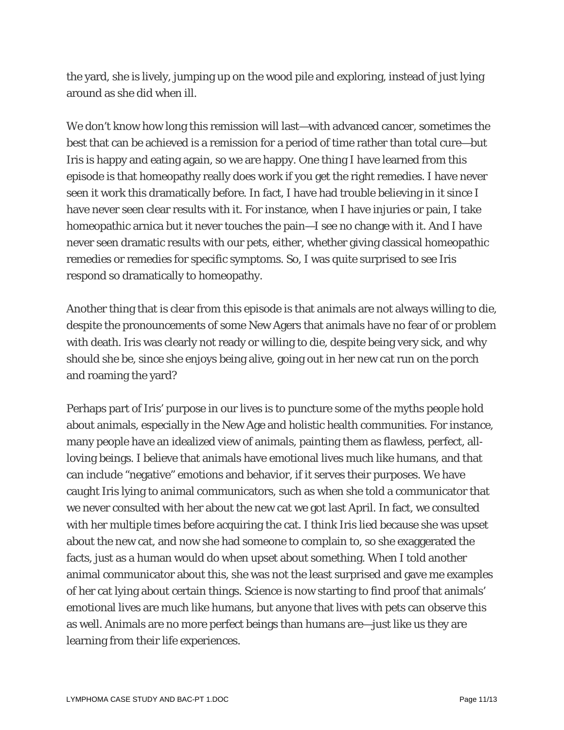the yard, she is lively, jumping up on the wood pile and exploring, instead of just lying around as she did when ill.

We don't know how long this remission will last—with advanced cancer, sometimes the best that can be achieved is a remission for a period of time rather than total cure—but Iris is happy and eating again, so we are happy. One thing I have learned from this episode is that homeopathy really does work if you get the right remedies. I have never seen it work this dramatically before. In fact, I have had trouble believing in it since I have never seen clear results with it. For instance, when I have injuries or pain, I take homeopathic arnica but it never touches the pain—I see no change with it. And I have never seen dramatic results with our pets, either, whether giving classical homeopathic remedies or remedies for specific symptoms. So, I was quite surprised to see Iris respond so dramatically to homeopathy.

Another thing that is clear from this episode is that animals are not always willing to die, despite the pronouncements of some New Agers that animals have no fear of or problem with death. Iris was clearly not ready or willing to die, despite being very sick, and why should she be, since she enjoys being alive, going out in her new cat run on the porch and roaming the yard?

Perhaps part of Iris' purpose in our lives is to puncture some of the myths people hold about animals, especially in the New Age and holistic health communities. For instance, many people have an idealized view of animals, painting them as flawless, perfect, allloving beings. I believe that animals have emotional lives much like humans, and that can include "negative" emotions and behavior, if it serves their purposes. We have caught Iris lying to animal communicators, such as when she told a communicator that we never consulted with her about the new cat we got last April. In fact, we consulted with her multiple times before acquiring the cat. I think Iris lied because she was upset about the new cat, and now she had someone to complain to, so she exaggerated the facts, just as a human would do when upset about something. When I told another animal communicator about this, she was not the least surprised and gave me examples of her cat lying about certain things. Science is now starting to find proof that animals' emotional lives are much like humans, but anyone that lives with pets can observe this as well. Animals are no more perfect beings than humans are—just like us they are learning from their life experiences.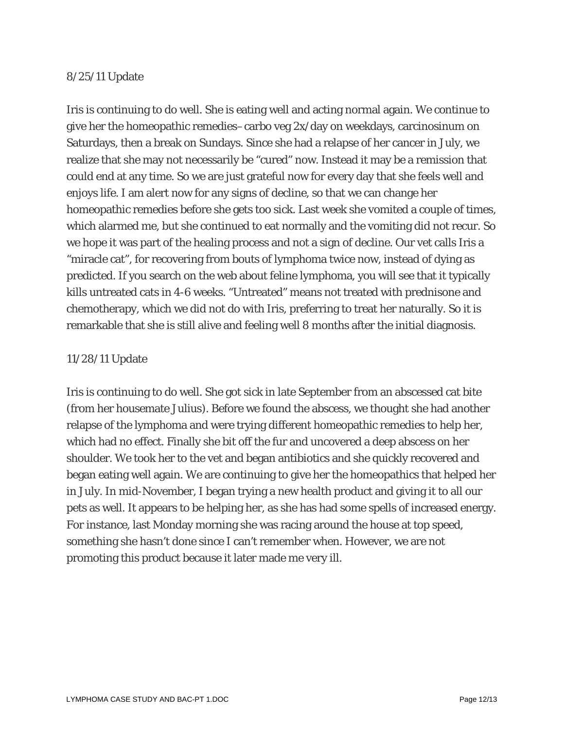#### 8/25/11 Update

Iris is continuing to do well. She is eating well and acting normal again. We continue to give her the homeopathic remedies–carbo veg 2x/day on weekdays, carcinosinum on Saturdays, then a break on Sundays. Since she had a relapse of her cancer in July, we realize that she may not necessarily be "cured" now. Instead it may be a remission that could end at any time. So we are just grateful now for every day that she feels well and enjoys life. I am alert now for any signs of decline, so that we can change her homeopathic remedies before she gets too sick. Last week she vomited a couple of times, which alarmed me, but she continued to eat normally and the vomiting did not recur. So we hope it was part of the healing process and not a sign of decline. Our vet calls Iris a "miracle cat", for recovering from bouts of lymphoma twice now, instead of dying as predicted. If you search on the web about feline lymphoma, you will see that it typically kills untreated cats in 4-6 weeks. "Untreated" means not treated with prednisone and chemotherapy, which we did not do with Iris, preferring to treat her naturally. So it is remarkable that she is still alive and feeling well 8 months after the initial diagnosis.

#### 11/28/11 Update

Iris is continuing to do well. She got sick in late September from an abscessed cat bite (from her housemate Julius). Before we found the abscess, we thought she had another relapse of the lymphoma and were trying different homeopathic remedies to help her, which had no effect. Finally she bit off the fur and uncovered a deep abscess on her shoulder. We took her to the vet and began antibiotics and she quickly recovered and began eating well again. We are continuing to give her the homeopathics that helped her in July. In mid-November, I began trying a new health product and giving it to all our pets as well. It appears to be helping her, as she has had some spells of increased energy. For instance, last Monday morning she was racing around the house at top speed, something she hasn't done since I can't remember when. However, we are not promoting this product because it later made me very ill.